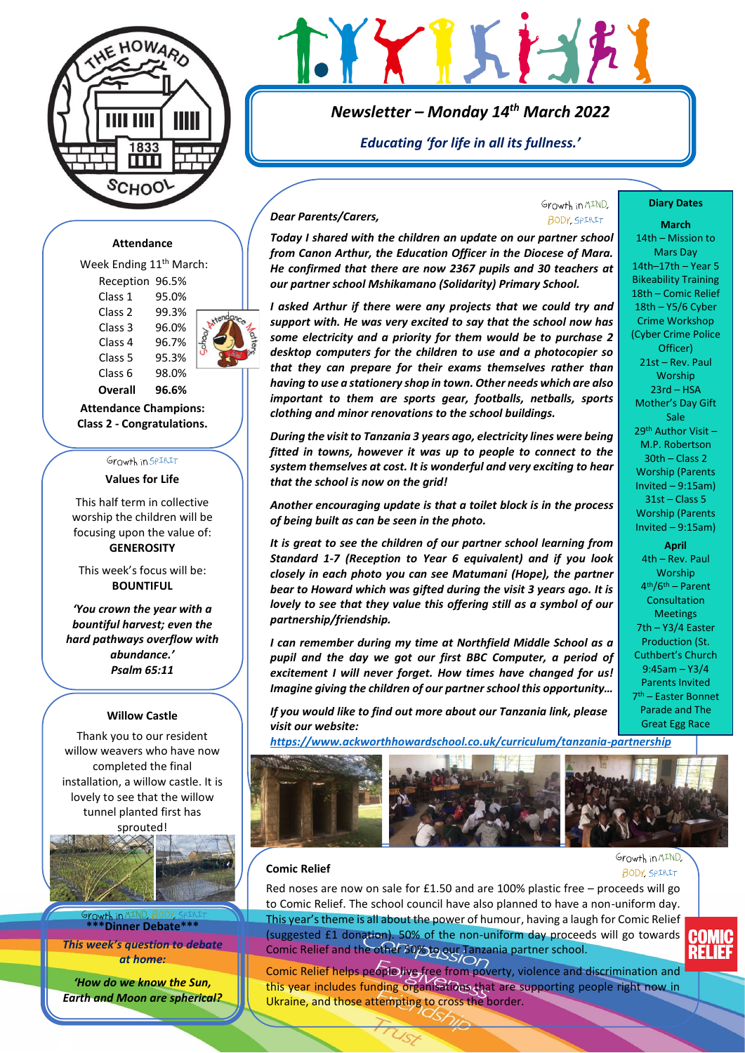



*Newsletter – Monday 14th March 2022*

*Educating 'for life in all its fullness.'*

### **Attendance**

Week Ending 11<sup>th</sup> March: Reception 96.5% Class 1 95.0% Class 2 99.3% Class 3 96.0% Class 4 96.7% Class 5 95.3% Class 6 98.0%



**Overall 96.6% Attendance Champions: Class 2 - Congratulations.**

# Growth in SPIRIT

**Values for Life**

This half term in collective worship the children will be focusing upon the value of: **GENEROSITY**

This week's focus will be: **BOUNTIFUL**

*'You crown the year with a bountiful harvest; even the hard pathways overflow with abundance.' Psalm 65:11*

#### **Willow Castle**

Thank you to our resident willow weavers who have now completed the final installation, a willow castle. It is lovely to see that the willow tunnel planted first has sprouted!



browth in **S \*\*\*Dinner Debate\*\*\***

*This week's question to debate at home:* 

*'How do we know the Sun, Earth and Moon are spherical?*

## *Dear Parents/Carers,*

## Growth in MIND. **BODY SPIRIT**

**Diary Dates March** 14th – Mission to Mars Day 14th–17th – Year 5 Bikeability Training 18th – Comic Relief 18th – Y5/6 Cyber Crime Workshop (Cyber Crime Police Officer) 21st – Rev. Paul Worship 23rd – HSA Mother's Day Gift Sale 29th Author Visit – M.P. Robertson 30th – Class 2 Worship (Parents Invited – 9:15am) 31st – Class 5 Worship (Parents Invited – 9:15am) **April** 4th – Rev. Paul Worship 4 th/6th – Parent **Consultation Meetings** 7th – Y3/4 Easter Production (St. Cuthbert's Church 9:45am – Y3/4 Parents Invited 7 th – Easter Bonnet Parade and The Great Egg Race

*Today I shared with the children an update on our partner school from Canon Arthur, the Education Officer in the Diocese of Mara. He confirmed that there are now 2367 pupils and 30 teachers at our partner school Mshikamano (Solidarity) Primary School.* 

*I asked Arthur if there were any projects that we could try and support with. He was very excited to say that the school now has some electricity and a priority for them would be to purchase 2 desktop computers for the children to use and a photocopier so that they can prepare for their exams themselves rather than having to use a stationery shop in town. Other needs which are also important to them are sports gear, footballs, netballs, sports clothing and minor renovations to the school buildings.* 

*During the visit to Tanzania 3 years ago, electricity lines were being fitted in towns, however it was up to people to connect to the system themselves at cost. It is wonderful and very exciting to hear that the school is now on the grid!*

*Another encouraging update is that a toilet block is in the process of being built as can be seen in the photo.*

*It is great to see the children of our partner school learning from Standard 1-7 (Reception to Year 6 equivalent) and if you look closely in each photo you can see Matumani (Hope), the partner bear to Howard which was gifted during the visit 3 years ago. It is lovely to see that they value this offering still as a symbol of our partnership/friendship.* 

*I can remember during my time at Northfield Middle School as a pupil and the day we got our first BBC Computer, a period of excitement I will never forget. How times have changed for us! Imagine giving the children of our partner school this opportunity…*

*If you would like to find out more about our Tanzania link, please visit our website:*

*<https://www.ackworthhowardschool.co.uk/curriculum/tanzania-partnership>*



### **Comic Relief**

Growth in MIND. **BODY**, SPIRIT

Red noses are now on sale for £1.50 and are 100% plastic free – proceeds will go to Comic Relief. The school council have also planned to have a non-uniform day. This year's theme is all about the power of humour, having a laugh for Comic Relief (suggested £1 donation). 50% of the non-uniform day proceeds will go towards Comic Relief and the other 50% to our Tanzania partner school.

Comic Relief helps people live free from poverty, violence and discrimination and this year includes funding organisations that are supporting people right now in Ukraine, and those attempting to cross the border.